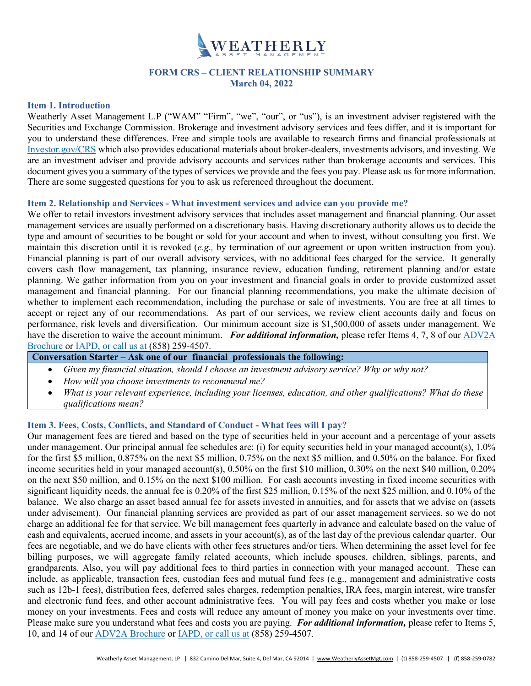

# **FORM CRS – CLIENT RELATIONSHIP SUMMARY March 04, 2022**

#### **Item 1. Introduction**

Weatherly Asset Management L.P ("WAM" "Firm", "we", "our", or "us"), is an investment adviser registered with the Securities and Exchange Commission. Brokerage and investment advisory services and fees differ, and it is important for you to understand these differences. Free and simple tools are available to research firms and financial professionals at [Investor.gov/CRS](http://www.investor.gov/CRS) which also provides educational materials about broker-dealers, investments advisors, and investing. We are an investment adviser and provide advisory accounts and services rather than brokerage accounts and services. This document gives you a summary of the types of services we provide and the fees you pay. Please ask us for more information. There are some suggested questions for you to ask us referenced throughout the document.

#### **Item 2. Relationship and Services - What investment services and advice can you provide me?**

We offer to retail investors investment advisory services that includes asset management and financial planning. Our asset management services are usually performed on a discretionary basis. Having discretionary authority allows us to decide the type and amount of securities to be bought or sold for your account and when to invest, without consulting you first. We maintain this discretion until it is revoked (*e.g.,* by termination of our agreement or upon written instruction from you). Financial planning is part of our overall advisory services, with no additional fees charged for the service. It generally covers cash flow management, tax planning, insurance review, education funding, retirement planning and/or estate planning. We gather information from you on your investment and financial goals in order to provide customized asset management and financial planning. For our financial planning recommendations, you make the ultimate decision of whether to implement each recommendation, including the purchase or sale of investments. You are free at all times to accept or reject any of our recommendations. As part of our services, we review client accounts daily and focus on performance, risk levels and diversification. Our minimum account size is \$1,500,000 of assets under management. We have the discretion to waive the account minimum. *For additional information,* please refer Items 4, 7, 8 of our [ADV2A](https://www.weatherlyassetmgt.com/adv/)  [Brochure](https://www.weatherlyassetmgt.com/adv/) or [IAPD,](https://adviserinfo.sec.gov/firm/summary/106935) or call us at (858) 259-4507.

**Conversation Starter – Ask one of our financial professionals the following:**

- *Given my financial situation, should I choose an investment advisory service? Why or why not?*
- *How will you choose investments to recommend me?*
- *What is your relevant experience, including your licenses, education, and other qualifications? What do these qualifications mean?*

#### **Item 3. Fees, Costs, Conflicts, and Standard of Conduct - What fees will I pay?**

Our management fees are tiered and based on the type of securities held in your account and a percentage of your assets under management. Our principal annual fee schedules are: (i) for equity securities held in your managed account(s), 1.0% for the first \$5 million, 0.875% on the next \$5 million, 0.75% on the next \$5 million, and 0.50% on the balance. For fixed income securities held in your managed account(s), 0.50% on the first \$10 million, 0.30% on the next \$40 million, 0.20% on the next \$50 million, and 0.15% on the next \$100 million. For cash accounts investing in fixed income securities with significant liquidity needs, the annual fee is 0.20% of the first \$25 million, 0.15% of the next \$25 million, and 0.10% of the balance. We also charge an asset based annual fee for assets invested in annuities, and for assets that we advise on (assets under advisement). Our financial planning services are provided as part of our asset management services, so we do not charge an additional fee for that service. We bill management fees quarterly in advance and calculate based on the value of cash and equivalents, accrued income, and assets in your account(s), as of the last day of the previous calendar quarter. Our fees are negotiable, and we do have clients with other fees structures and/or tiers. When determining the asset level for fee billing purposes, we will aggregate family related accounts, which include spouses, children, siblings, parents, and grandparents. Also, you will pay additional fees to third parties in connection with your managed account. These can include, as applicable, transaction fees, custodian fees and mutual fund fees (e.g., management and administrative costs such as 12b-1 fees), distribution fees, deferred sales charges, redemption penalties, IRA fees, margin interest, wire transfer and electronic fund fees, and other account administrative fees. You will pay fees and costs whether you make or lose money on your investments. Fees and costs will reduce any amount of money you make on your investments over time. Please make sure you understand what fees and costs you are paying. *For additional information,* please refer to Items 5, 10, and 14 of ou[r ADV2A Brochure](https://www.weatherlyassetmgt.com/adv/) or [IAPD,](https://adviserinfo.sec.gov/firm/summary/106935) or call us at (858) 259-4507.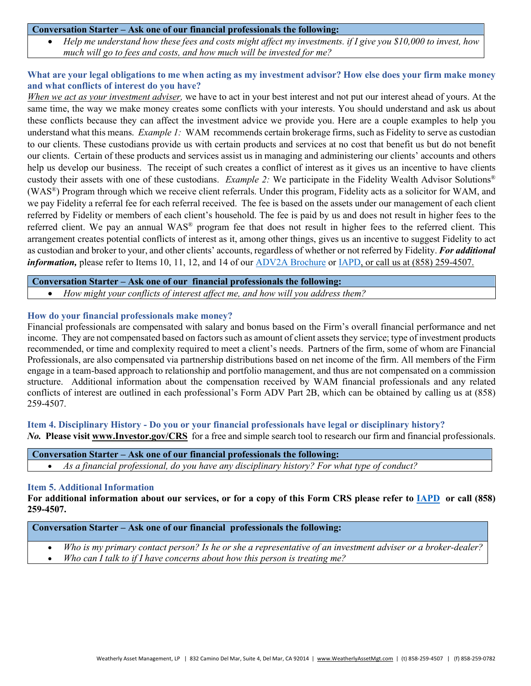#### **Conversation Starter – Ask one of our financial professionals the following:**

• *Help me understand how these fees and costs might affect my investments. if I give you \$10,000 to invest, how much will go to fees and costs, and how much will be invested for me?*

## **What are your legal obligations to me when acting as my investment advisor? How else does your firm make money and what conflicts of interest do you have?**

*When we act as your investment adviser,* we have to act in your best interest and not put our interest ahead of yours. At the same time, the way we make money creates some conflicts with your interests. You should understand and ask us about these conflicts because they can affect the investment advice we provide you. Here are a couple examples to help you understand what this means. *Example 1:* WAM recommends certain brokerage firms, such as Fidelity to serve as custodian to our clients. These custodians provide us with certain products and services at no cost that benefit us but do not benefit our clients. Certain of these products and services assist us in managing and administering our clients' accounts and others help us develop our business. The receipt of such creates a conflict of interest as it gives us an incentive to have clients custody their assets with one of these custodians. *Example 2:* We participate in the Fidelity Wealth Advisor Solutions® (WAS®) Program through which we receive client referrals. Under this program, Fidelity acts as a solicitor for WAM, and we pay Fidelity a referral fee for each referral received. The fee is based on the assets under our management of each client referred by Fidelity or members of each client's household. The fee is paid by us and does not result in higher fees to the referred client. We pay an annual WAS® program fee that does not result in higher fees to the referred client. This arrangement creates potential conflicts of interest as it, among other things, gives us an incentive to suggest Fidelity to act as custodian and broker to your, and other clients' accounts, regardless of whether or not referred by Fidelity. *For additional information,* please refer to Items 10, 11, 12, and 14 of our [ADV2A Brochure](https://www.weatherlyassetmgt.com/adv/) or [IAPD,](https://adviserinfo.sec.gov/firm/summary/106935) or call us at (858) 259-4507.

**Conversation Starter – Ask one of our financial professionals the following:**

• *How might your conflicts of interest affect me, and how will you address them?*

## **How do your financial professionals make money?**

Financial professionals are compensated with salary and bonus based on the Firm's overall financial performance and net income. They are not compensated based on factors such as amount of client assets they service; type of investment products recommended, or time and complexity required to meet a client's needs. Partners of the firm, some of whom are Financial Professionals, are also compensated via partnership distributions based on net income of the firm. All members of the Firm engage in a team-based approach to relationship and portfolio management, and thus are not compensated on a commission structure. Additional information about the compensation received by WAM financial professionals and any related conflicts of interest are outlined in each professional's Form ADV Part 2B, which can be obtained by calling us at (858) 259-4507.

**Item 4. Disciplinary History - Do you or your financial professionals have legal or disciplinary history?** *No.* **Please visit [www.Investor.gov/CRS](http://www.investor.gov/CRS)** for a free and simple search tool to research our firm and financial professionals.

| Conversation Starter – Ask one of our financial professionals the following: |  |
|------------------------------------------------------------------------------|--|
|                                                                              |  |

• *As a financial professional, do you have any disciplinary history? For what type of conduct?*

## **Item 5. Additional Information**

**For additional information about our services, or for a copy of this Form CRS please refer to [IAPD](https://adviserinfo.sec.gov/firm/summary/106935) or call (858) 259-4507.**

#### **Conversation Starter – Ask one of our financial professionals the following:**

- *Who is my primary contact person? Is he or she a representative of an investment adviser or a broker-dealer?*
- *Who can I talk to if I have concerns about how this person is treating me?*